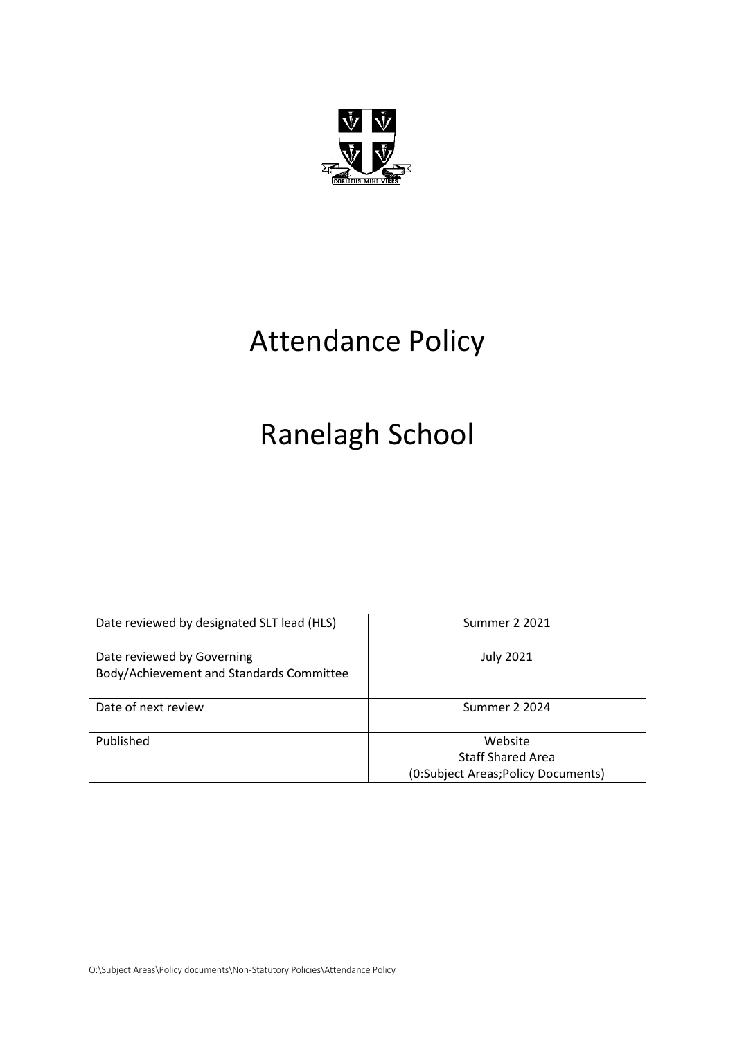

# Attendance Policy

# Ranelagh School

| Date reviewed by designated SLT lead (HLS)                             | Summer 2 2021                       |
|------------------------------------------------------------------------|-------------------------------------|
| Date reviewed by Governing<br>Body/Achievement and Standards Committee | <b>July 2021</b>                    |
| Date of next review                                                    | Summer 2 2024                       |
| Published                                                              | Website                             |
|                                                                        | <b>Staff Shared Area</b>            |
|                                                                        | (0:Subject Areas; Policy Documents) |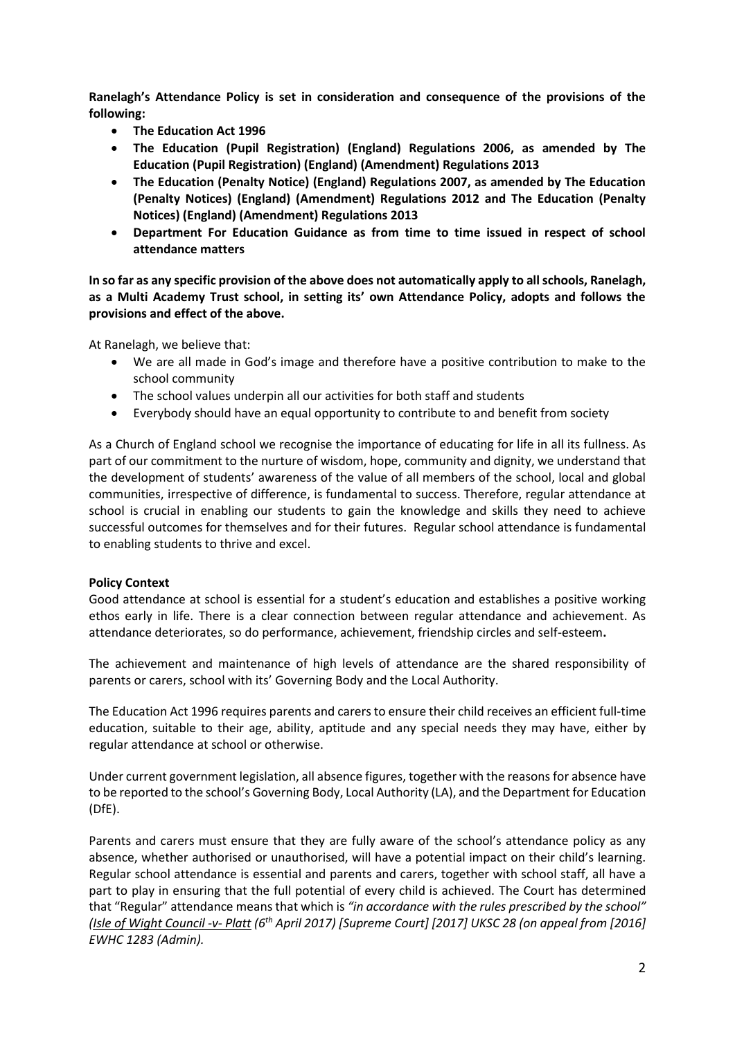**Ranelagh's Attendance Policy is set in consideration and consequence of the provisions of the following:**

- **The Education Act 1996**
- **The Education (Pupil Registration) (England) Regulations 2006, as amended by The Education (Pupil Registration) (England) (Amendment) Regulations 2013**
- **The Education (Penalty Notice) (England) Regulations 2007, as amended by The Education (Penalty Notices) (England) (Amendment) Regulations 2012 and The Education (Penalty Notices) (England) (Amendment) Regulations 2013**
- **Department For Education Guidance as from time to time issued in respect of school attendance matters**

**In so far as any specific provision of the above does not automatically apply to all schools, Ranelagh, as a Multi Academy Trust school, in setting its' own Attendance Policy, adopts and follows the provisions and effect of the above.** 

At Ranelagh, we believe that:

- We are all made in God's image and therefore have a positive contribution to make to the school community
- The school values underpin all our activities for both staff and students
- Everybody should have an equal opportunity to contribute to and benefit from society

As a Church of England school we recognise the importance of educating for life in all its fullness. As part of our commitment to the nurture of wisdom, hope, community and dignity, we understand that the development of students' awareness of the value of all members of the school, local and global communities, irrespective of difference, is fundamental to success. Therefore, regular attendance at school is crucial in enabling our students to gain the knowledge and skills they need to achieve successful outcomes for themselves and for their futures. Regular school attendance is fundamental to enabling students to thrive and excel.

#### **Policy Context**

Good attendance at school is essential for a student's education and establishes a positive working ethos early in life. There is a clear connection between regular attendance and achievement. As attendance deteriorates, so do performance, achievement, friendship circles and self-esteem**.** 

The achievement and maintenance of high levels of attendance are the shared responsibility of parents or carers, school with its' Governing Body and the Local Authority.

The Education Act 1996 requires parents and carers to ensure their child receives an efficient full-time education, suitable to their age, ability, aptitude and any special needs they may have, either by regular attendance at school or otherwise.

Under current government legislation, all absence figures, together with the reasons for absence have to be reported to the school's Governing Body, Local Authority (LA), and the Department for Education (DfE).

Parents and carers must ensure that they are fully aware of the school's attendance policy as any absence, whether authorised or unauthorised, will have a potential impact on their child's learning. Regular school attendance is essential and parents and carers, together with school staff, all have a part to play in ensuring that the full potential of every child is achieved. The Court has determined that "Regular" attendance means that which is *"in accordance with the rules prescribed by the school" (Isle of Wight Council -v- Platt (6th April 2017) [Supreme Court] [2017] UKSC 28 (on appeal from [2016] EWHC 1283 (Admin).*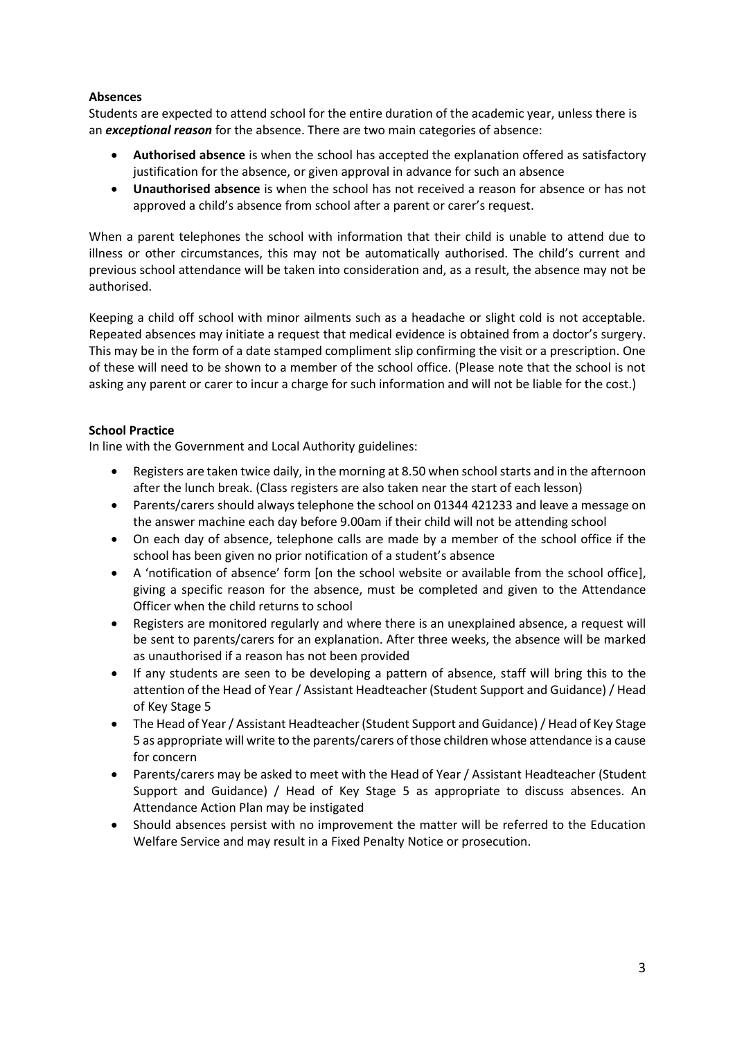## **Absences**

Students are expected to attend school for the entire duration of the academic year, unless there is an *exceptional reason* for the absence. There are two main categories of absence:

- **Authorised absence** is when the school has accepted the explanation offered as satisfactory justification for the absence, or given approval in advance for such an absence
- **Unauthorised absence** is when the school has not received a reason for absence or has not approved a child's absence from school after a parent or carer's request.

When a parent telephones the school with information that their child is unable to attend due to illness or other circumstances, this may not be automatically authorised. The child's current and previous school attendance will be taken into consideration and, as a result, the absence may not be authorised.

Keeping a child off school with minor ailments such as a headache or slight cold is not acceptable. Repeated absences may initiate a request that medical evidence is obtained from a doctor's surgery. This may be in the form of a date stamped compliment slip confirming the visit or a prescription. One of these will need to be shown to a member of the school office. (Please note that the school is not asking any parent or carer to incur a charge for such information and will not be liable for the cost.)

# **School Practice**

In line with the Government and Local Authority guidelines:

- Registers are taken twice daily, in the morning at 8.50 when school starts and in the afternoon after the lunch break. (Class registers are also taken near the start of each lesson)
- Parents/carers should always telephone the school on 01344 421233 and leave a message on the answer machine each day before 9.00am if their child will not be attending school
- On each day of absence, telephone calls are made by a member of the school office if the school has been given no prior notification of a student's absence
- A 'notification of absence' form [on the school website or available from the school office], giving a specific reason for the absence, must be completed and given to the Attendance Officer when the child returns to school
- Registers are monitored regularly and where there is an unexplained absence, a request will be sent to parents/carers for an explanation. After three weeks, the absence will be marked as unauthorised if a reason has not been provided
- If any students are seen to be developing a pattern of absence, staff will bring this to the attention of the Head of Year / Assistant Headteacher (Student Support and Guidance) / Head of Key Stage 5
- The Head of Year / Assistant Headteacher (Student Support and Guidance) / Head of Key Stage 5 as appropriate will write to the parents/carers of those children whose attendance is a cause for concern
- Parents/carers may be asked to meet with the Head of Year / Assistant Headteacher (Student Support and Guidance) / Head of Key Stage 5 as appropriate to discuss absences. An Attendance Action Plan may be instigated
- Should absences persist with no improvement the matter will be referred to the Education Welfare Service and may result in a Fixed Penalty Notice or prosecution.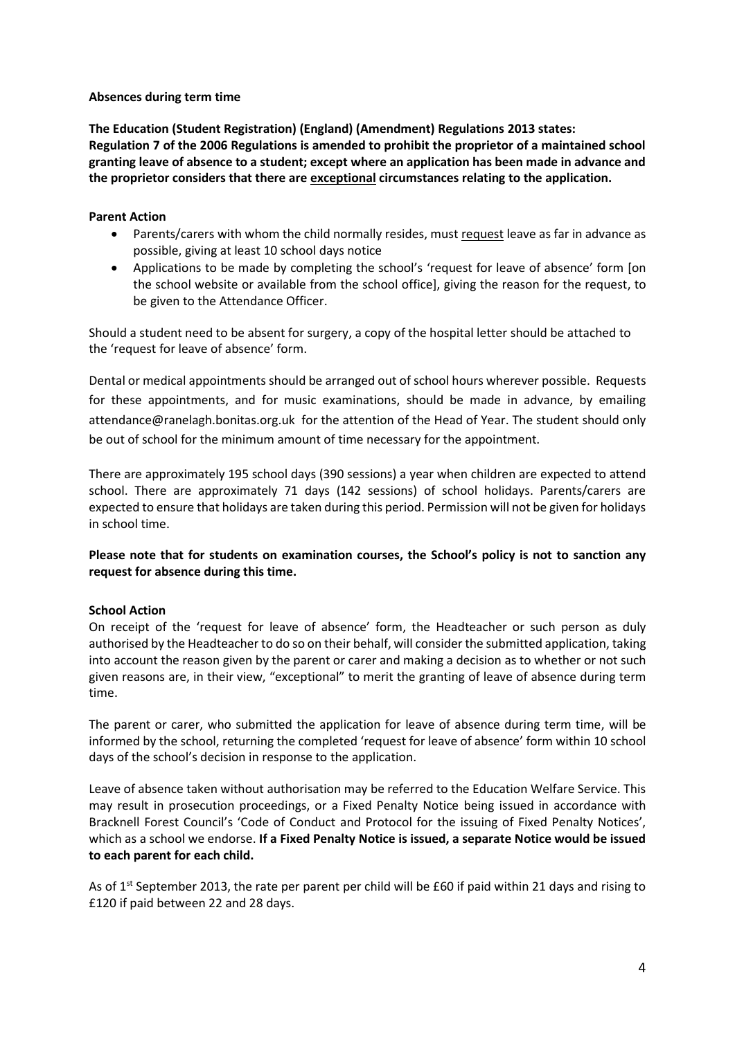#### **Absences during term time**

**The Education (Student Registration) (England) (Amendment) Regulations 2013 states: Regulation 7 of the 2006 Regulations is amended to prohibit the proprietor of a maintained school granting leave of absence to a student; except where an application has been made in advance and the proprietor considers that there are exceptional circumstances relating to the application.**

### **Parent Action**

- Parents/carers with whom the child normally resides, must request leave as far in advance as possible, giving at least 10 school days notice
- Applications to be made by completing the school's 'request for leave of absence' form [on the school website or available from the school office], giving the reason for the request, to be given to the Attendance Officer.

Should a student need to be absent for surgery, a copy of the hospital letter should be attached to the 'request for leave of absence' form.

Dental or medical appointments should be arranged out of school hours wherever possible. Requests for these appointments, and for music examinations, should be made in advance, by emailing attendance@ranelagh.bonitas.org.uk for the attention of the Head of Year. The student should only be out of school for the minimum amount of time necessary for the appointment.

There are approximately 195 school days (390 sessions) a year when children are expected to attend school. There are approximately 71 days (142 sessions) of school holidays. Parents/carers are expected to ensure that holidays are taken during this period. Permission will not be given for holidays in school time.

**Please note that for students on examination courses, the School's policy is not to sanction any request for absence during this time.**

#### **School Action**

On receipt of the 'request for leave of absence' form, the Headteacher or such person as duly authorised by the Headteacher to do so on their behalf, will consider the submitted application, taking into account the reason given by the parent or carer and making a decision as to whether or not such given reasons are, in their view, "exceptional" to merit the granting of leave of absence during term time.

The parent or carer, who submitted the application for leave of absence during term time, will be informed by the school, returning the completed 'request for leave of absence' form within 10 school days of the school's decision in response to the application.

Leave of absence taken without authorisation may be referred to the Education Welfare Service. This may result in prosecution proceedings, or a Fixed Penalty Notice being issued in accordance with Bracknell Forest Council's 'Code of Conduct and Protocol for the issuing of Fixed Penalty Notices', which as a school we endorse. **If a Fixed Penalty Notice is issued, a separate Notice would be issued to each parent for each child.**

As of  $1<sup>st</sup>$  September 2013, the rate per parent per child will be £60 if paid within 21 days and rising to £120 if paid between 22 and 28 days.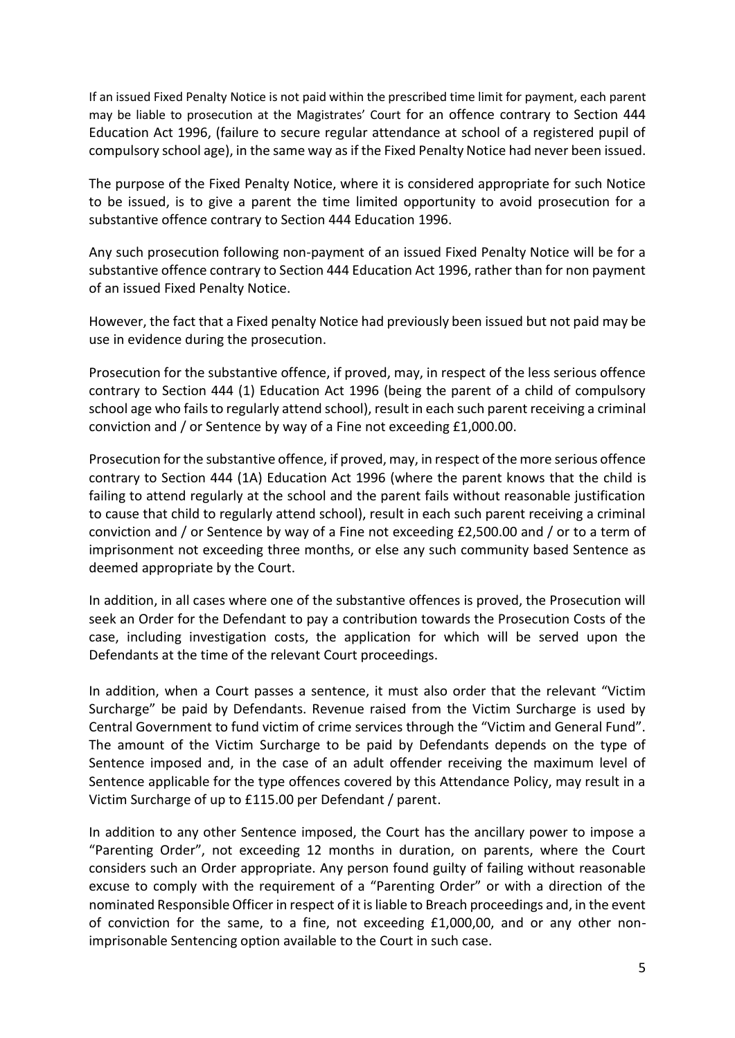If an issued Fixed Penalty Notice is not paid within the prescribed time limit for payment, each parent may be liable to prosecution at the Magistrates' Court for an offence contrary to Section 444 Education Act 1996, (failure to secure regular attendance at school of a registered pupil of compulsory school age), in the same way as if the Fixed Penalty Notice had never been issued.

The purpose of the Fixed Penalty Notice, where it is considered appropriate for such Notice to be issued, is to give a parent the time limited opportunity to avoid prosecution for a substantive offence contrary to Section 444 Education 1996.

Any such prosecution following non-payment of an issued Fixed Penalty Notice will be for a substantive offence contrary to Section 444 Education Act 1996, rather than for non payment of an issued Fixed Penalty Notice.

However, the fact that a Fixed penalty Notice had previously been issued but not paid may be use in evidence during the prosecution.

Prosecution for the substantive offence, if proved, may, in respect of the less serious offence contrary to Section 444 (1) Education Act 1996 (being the parent of a child of compulsory school age who fails to regularly attend school), result in each such parent receiving a criminal conviction and / or Sentence by way of a Fine not exceeding £1,000.00.

Prosecution for the substantive offence, if proved, may, in respect of the more serious offence contrary to Section 444 (1A) Education Act 1996 (where the parent knows that the child is failing to attend regularly at the school and the parent fails without reasonable justification to cause that child to regularly attend school), result in each such parent receiving a criminal conviction and / or Sentence by way of a Fine not exceeding £2,500.00 and / or to a term of imprisonment not exceeding three months, or else any such community based Sentence as deemed appropriate by the Court.

In addition, in all cases where one of the substantive offences is proved, the Prosecution will seek an Order for the Defendant to pay a contribution towards the Prosecution Costs of the case, including investigation costs, the application for which will be served upon the Defendants at the time of the relevant Court proceedings.

In addition, when a Court passes a sentence, it must also order that the relevant "Victim Surcharge" be paid by Defendants. Revenue raised from the Victim Surcharge is used by Central Government to fund victim of crime services through the "Victim and General Fund". The amount of the Victim Surcharge to be paid by Defendants depends on the type of Sentence imposed and, in the case of an adult offender receiving the maximum level of Sentence applicable for the type offences covered by this Attendance Policy, may result in a Victim Surcharge of up to £115.00 per Defendant / parent.

In addition to any other Sentence imposed, the Court has the ancillary power to impose a "Parenting Order", not exceeding 12 months in duration, on parents, where the Court considers such an Order appropriate. Any person found guilty of failing without reasonable excuse to comply with the requirement of a "Parenting Order" or with a direction of the nominated Responsible Officer in respect of it is liable to Breach proceedings and, in the event of conviction for the same, to a fine, not exceeding £1,000,00, and or any other nonimprisonable Sentencing option available to the Court in such case.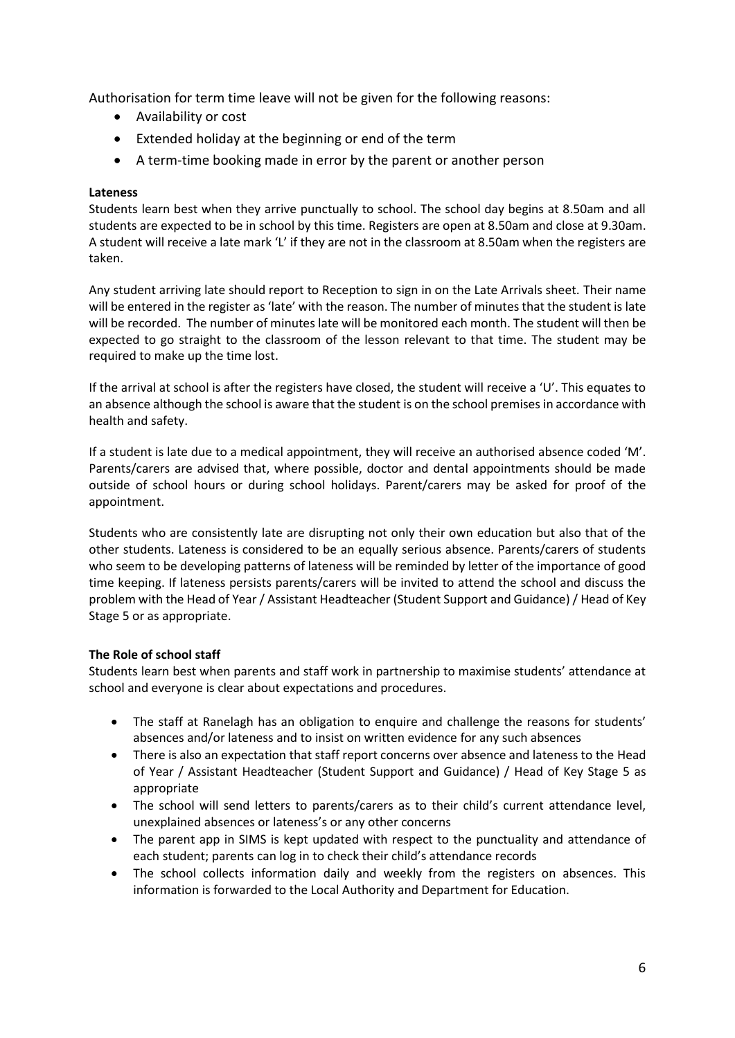Authorisation for term time leave will not be given for the following reasons:

- Availability or cost
- Extended holiday at the beginning or end of the term
- A term-time booking made in error by the parent or another person

## **Lateness**

Students learn best when they arrive punctually to school. The school day begins at 8.50am and all students are expected to be in school by this time. Registers are open at 8.50am and close at 9.30am. A student will receive a late mark 'L' if they are not in the classroom at 8.50am when the registers are taken.

Any student arriving late should report to Reception to sign in on the Late Arrivals sheet. Their name will be entered in the register as 'late' with the reason. The number of minutes that the student is late will be recorded. The number of minutes late will be monitored each month. The student will then be expected to go straight to the classroom of the lesson relevant to that time. The student may be required to make up the time lost.

If the arrival at school is after the registers have closed, the student will receive a 'U'. This equates to an absence although the school is aware that the student is on the school premises in accordance with health and safety.

If a student is late due to a medical appointment, they will receive an authorised absence coded 'M'. Parents/carers are advised that, where possible, doctor and dental appointments should be made outside of school hours or during school holidays. Parent/carers may be asked for proof of the appointment.

Students who are consistently late are disrupting not only their own education but also that of the other students. Lateness is considered to be an equally serious absence. Parents/carers of students who seem to be developing patterns of lateness will be reminded by letter of the importance of good time keeping. If lateness persists parents/carers will be invited to attend the school and discuss the problem with the Head of Year / Assistant Headteacher (Student Support and Guidance) / Head of Key Stage 5 or as appropriate.

## **The Role of school staff**

Students learn best when parents and staff work in partnership to maximise students' attendance at school and everyone is clear about expectations and procedures.

- The staff at Ranelagh has an obligation to enquire and challenge the reasons for students' absences and/or lateness and to insist on written evidence for any such absences
- There is also an expectation that staff report concerns over absence and lateness to the Head of Year / Assistant Headteacher (Student Support and Guidance) / Head of Key Stage 5 as appropriate
- The school will send letters to parents/carers as to their child's current attendance level, unexplained absences or lateness's or any other concerns
- The parent app in SIMS is kept updated with respect to the punctuality and attendance of each student; parents can log in to check their child's attendance records
- The school collects information daily and weekly from the registers on absences. This information is forwarded to the Local Authority and Department for Education.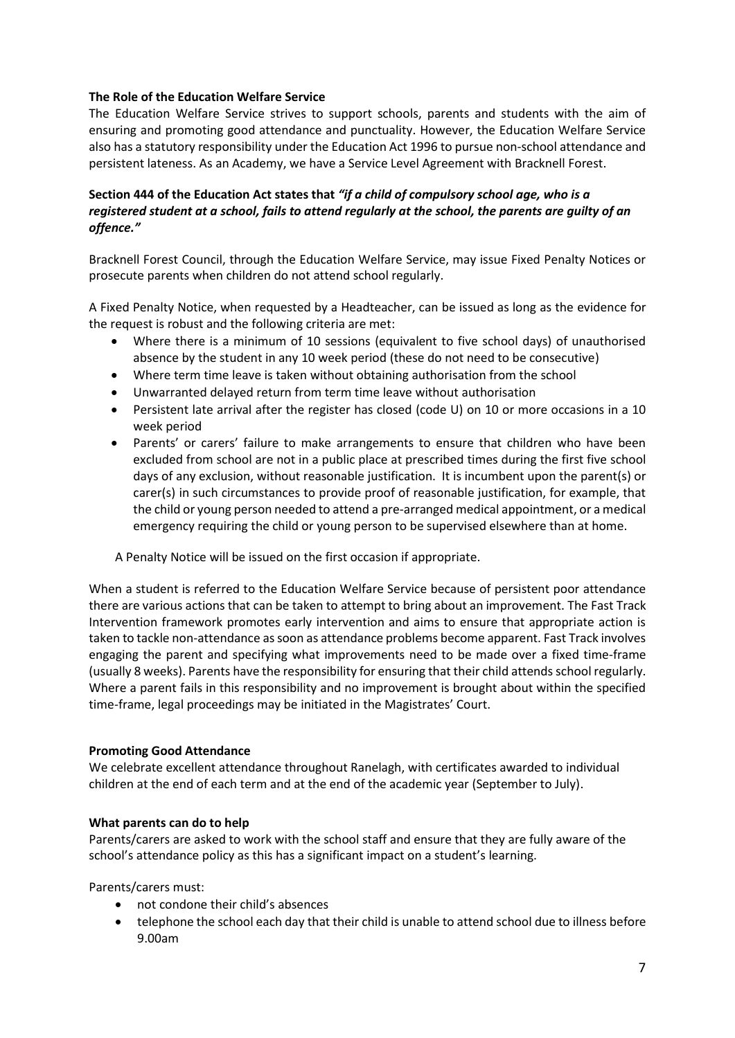## **The Role of the Education Welfare Service**

The Education Welfare Service strives to support schools, parents and students with the aim of ensuring and promoting good attendance and punctuality. However, the Education Welfare Service also has a statutory responsibility under the Education Act 1996 to pursue non-school attendance and persistent lateness. As an Academy, we have a Service Level Agreement with Bracknell Forest.

## **Section 444 of the Education Act states that** *"if a child of compulsory school age, who is a registered student at a school, fails to attend regularly at the school, the parents are guilty of an offence."*

Bracknell Forest Council, through the Education Welfare Service, may issue Fixed Penalty Notices or prosecute parents when children do not attend school regularly.

A Fixed Penalty Notice, when requested by a Headteacher, can be issued as long as the evidence for the request is robust and the following criteria are met:

- Where there is a minimum of 10 sessions (equivalent to five school days) of unauthorised absence by the student in any 10 week period (these do not need to be consecutive)
- Where term time leave is taken without obtaining authorisation from the school
- Unwarranted delayed return from term time leave without authorisation
- Persistent late arrival after the register has closed (code U) on 10 or more occasions in a 10 week period
- Parents' or carers' failure to make arrangements to ensure that children who have been excluded from school are not in a public place at prescribed times during the first five school days of any exclusion, without reasonable justification. It is incumbent upon the parent(s) or carer(s) in such circumstances to provide proof of reasonable justification, for example, that the child or young person needed to attend a pre-arranged medical appointment, or a medical emergency requiring the child or young person to be supervised elsewhere than at home.

A Penalty Notice will be issued on the first occasion if appropriate.

When a student is referred to the Education Welfare Service because of persistent poor attendance there are various actions that can be taken to attempt to bring about an improvement. The Fast Track Intervention framework promotes early intervention and aims to ensure that appropriate action is taken to tackle non-attendance as soon as attendance problems become apparent. Fast Track involves engaging the parent and specifying what improvements need to be made over a fixed time-frame (usually 8 weeks). Parents have the responsibility for ensuring that their child attends school regularly. Where a parent fails in this responsibility and no improvement is brought about within the specified time-frame, legal proceedings may be initiated in the Magistrates' Court.

#### **Promoting Good Attendance**

We celebrate excellent attendance throughout Ranelagh, with certificates awarded to individual children at the end of each term and at the end of the academic year (September to July).

#### **What parents can do to help**

Parents/carers are asked to work with the school staff and ensure that they are fully aware of the school's attendance policy as this has a significant impact on a student's learning.

Parents/carers must:

- not condone their child's absences
- telephone the school each day that their child is unable to attend school due to illness before 9.00am